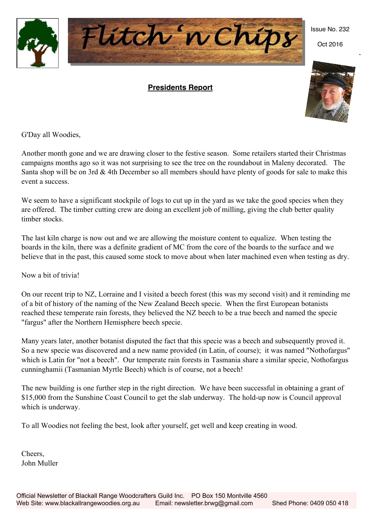

#### **Presidents Report**



Oct 2016



G'Day all Woodies,

Another month gone and we are drawing closer to the festive season. Some retailers started their Christmas campaigns months ago so it was not surprising to see the tree on the roundabout in Maleny decorated. The Santa shop will be on 3rd  $\&$  4th December so all members should have plenty of goods for sale to make this event a success.

We seem to have a significant stockpile of logs to cut up in the yard as we take the good species when they are offered. The timber cutting crew are doing an excellent job of milling, giving the club better quality timber stocks.

The last kiln charge is now out and we are allowing the moisture content to equalize. When testing the boards in the kiln, there was a definite gradient of MC from the core of the boards to the surface and we believe that in the past, this caused some stock to move about when later machined even when testing as dry.

Now a bit of trivia!

On our recent trip to NZ, Lorraine and I visited a beech forest (this was my second visit) and it reminding me of a bit of history of the naming of the New Zealand Beech specie. When the first European botanists reached these temperate rain forests, they believed the NZ beech to be a true beech and named the specie "fargus" after the Northern Hemisphere beech specie.

Many years later, another botanist disputed the fact that this specie was a beech and subsequently proved it. So a new specie was discovered and a new name provided (in Latin, of course); it was named "Nothofargus" which is Latin for "not a beech". Our temperate rain forests in Tasmania share a similar specie, Nothofargus cunninghamii (Tasmanian Myrtle Beech) which is of course, not a beech!

The new building is one further step in the right direction. We have been successful in obtaining a grant of \$15,000 from the Sunshine Coast Council to get the slab underway. The hold-up now is Council approval which is underway.

To all Woodies not feeling the best, look after yourself, get well and keep creating in wood.

Cheers, John Muller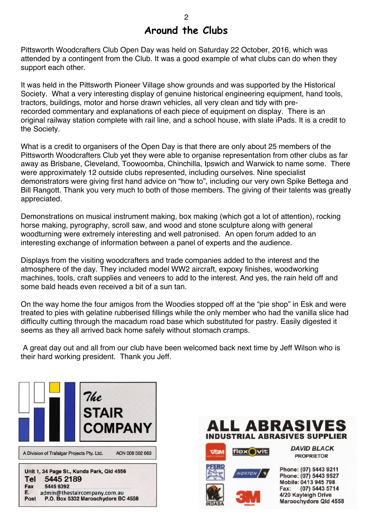### **Around the Clubs**

Pittsworth Woodcrafters Club Open Day was held on Saturday 22 October, 2016, which was attended by a contingent from the Club. It was a good example of what clubs can do when they support each other.

It was held in the Pittsworth Pioneer Village show grounds and was supported by the Historical Society. What a very interesting display of genuine historical engineering equipment, hand tools, tractors, buildings, motor and horse drawn vehicles, all very clean and tidy with prerecorded commentary and explanations of each piece of equipment on display. There is an original railway station complete with rail line, and a school house, with slate iPads. It is a credit to the Society.

What is a credit to organisers of the Open Day is that there are only about 25 members of the Pittsworth Woodcrafters Club yet they were able to organise representation from other clubs as far away as Brisbane, Cleveland, Toowoomba, Chinchilla, Ipswich and Warwick to name some. There were approximately 12 outside clubs represented, including ourselves. Nine specialist demonstrators were giving first hand advice on "how to", including our very own Spike Bettega and Bill Rangott. Thank you very much to both of those members. The giving of their talents was greatly appreciated.

Demonstrations on musical instrument making, box making (which got a lot of attention), rocking horse making, pyrography, scroll saw, and wood and stone sculpture along with general woodturning were extremely interesting and well patronised. An open forum added to an interesting exchange of information between a panel of experts and the audience.

Displays from the visiting woodcrafters and trade companies added to the interest and the atmosphere of the day. They included model WW2 aircraft, expoxy finishes, woodworking machines, tools, craft supplies and veneers to add to the interest. And yes, the rain held off and some bald heads even received a bit of a sun tan.

On the way home the four amigos from the Woodies stopped off at the "pie shop" in Esk and were treated to pies with gelatine rubberised fillings while the only member who had the vanilla slice had difficulty cutting through the macadum road base which substituted for pastry. Easily digested it seems as they all arrived back home safely without stomach cramps.

A great day out and all from our club have been welcomed back next time by Jeff Wilson who is their hard working president. Thank you Jeff.







**DAVID BLACK PROPRIETOR** 

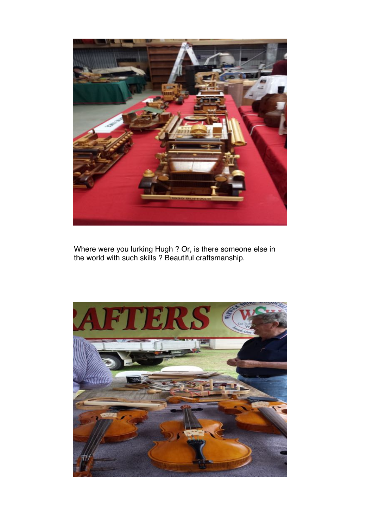

Where were you lurking Hugh ? Or, is there someone else in the world with such skills ? Beautiful craftsmanship.

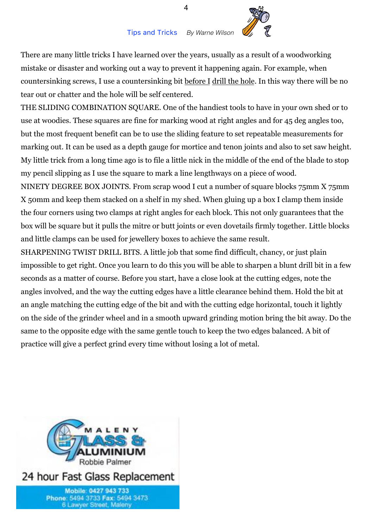

There are many little tricks I have learned over the years, usually as a result of a woodworking mistake or disaster and working out a way to prevent it happening again. For example, when countersinking screws, I use a countersinking bit before I drill the hole. In this way there will be no tear out or chatter and the hole will be self centered.

THE SLIDING COMBINATION SQUARE. One of the handiest tools to have in your own shed or to use at woodies. These squares are fine for marking wood at right angles and for 45 deg angles too, but the most frequent benefit can be to use the sliding feature to set repeatable measurements for marking out. It can be used as a depth gauge for mortice and tenon joints and also to set saw height. My little trick from a long time ago is to file a little nick in the middle of the end of the blade to stop my pencil slipping as I use the square to mark a line lengthways on a piece of wood.

NINETY DEGREE BOX JOINTS. From scrap wood I cut a number of square blocks 75mm X 75mm X 50mm and keep them stacked on a shelf in my shed. When gluing up a box I clamp them inside the four corners using two clamps at right angles for each block. This not only guarantees that the box will be square but it pulls the mitre or butt joints or even dovetails firmly together. Little blocks and little clamps can be used for jewellery boxes to achieve the same result.

SHARPENING TWIST DRILL BITS. A little job that some find difficult, chancy, or just plain impossible to get right. Once you learn to do this you will be able to sharpen a blunt drill bit in a few seconds as a matter of course. Before you start, have a close look at the cutting edges, note the angles involved, and the way the cutting edges have a little clearance behind them. Hold the bit at an angle matching the cutting edge of the bit and with the cutting edge horizontal, touch it lightly on the side of the grinder wheel and in a smooth upward grinding motion bring the bit away. Do the same to the opposite edge with the same gentle touch to keep the two edges balanced. A bit of practice will give a perfect grind every time without losing a lot of metal.

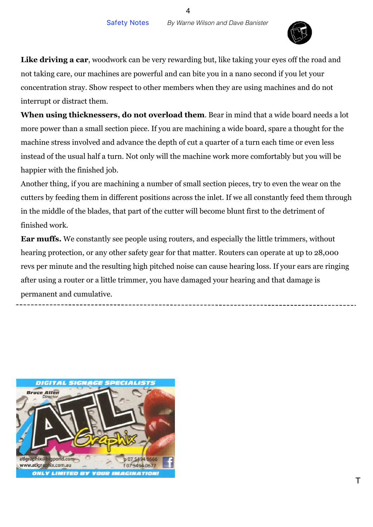

Like driving a car, woodwork can be very rewarding but, like taking your eyes off the road and not taking care, our machines are powerful and can bite you in a nano second if you let your concentration stray. Show respect to other members when they are using machines and do not interrupt or distract them.

**When using thicknessers, do not overload them**. Bear in mind that a wide board needs a lot more power than a small section piece. If you are machining a wide board, spare a thought for the machine stress involved and advance the depth of cut a quarter of a turn each time or even less instead of the usual half a turn. Not only will the machine work more comfortably but you will be happier with the finished job.

Another thing, if you are machining a number of small section pieces, try to even the wear on the cutters by feeding them in different positions across the inlet. If we all constantly feed them through in the middle of the blades, that part of the cutter will become blunt first to the detriment of finished work.

**Ear muffs.** We constantly see people using routers, and especially the little trimmers, without hearing protection, or any other safety gear for that matter. Routers can operate at up to 28,000 revs per minute and the resulting high pitched noise can cause hearing loss. If your ears are ringing after using a router or a little trimmer, you have damaged your hearing and that damage is permanent and cumulative.

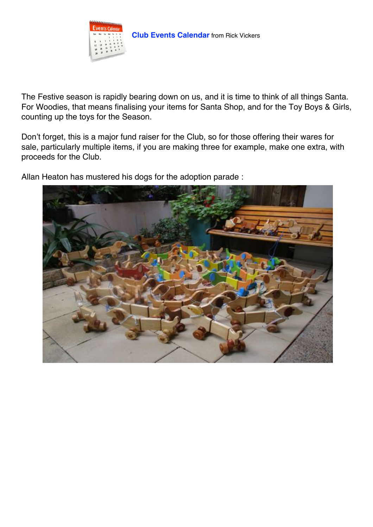

The Festive season is rapidly bearing down on us, and it is time to think of all things Santa. For Woodies, that means finalising your items for Santa Shop, and for the Toy Boys & Girls, counting up the toys for the Season.

Don't forget, this is a major fund raiser for the Club, so for those offering their wares for sale, particularly multiple items, if you are making three for example, make one extra, with proceeds for the Club.

Allan Heaton has mustered his dogs for the adoption parade :

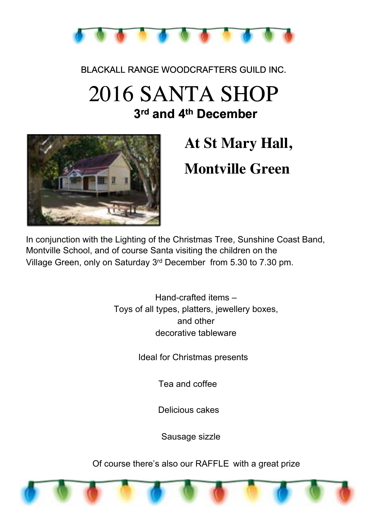

BLACKALL RANGE WOODCRAFTERS GUILD INC.

# 2016 SANTA SHOP **3rd and 4th December**



# **At St Mary Hall, Montville Green**

In conjunction with the Lighting of the Christmas Tree, Sunshine Coast Band, Montville School, and of course Santa visiting the children on the Village Green, only on Saturday 3rd December from 5.30 to 7.30 pm.

> Hand-crafted items – Toys of all types, platters, jewellery boxes, and other decorative tableware

> > Ideal for Christmas presents

Tea and coffee

Delicious cakes

Sausage sizzle

Of course there's also our RAFFLE with a great prize

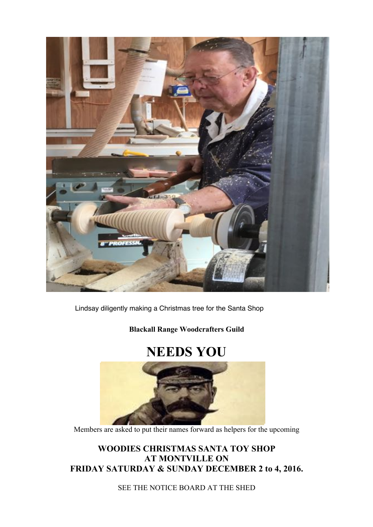

Lindsay diligently making a Christmas tree for the Santa Shop

**Blackall Range Woodcrafters Guild**

## **NEEDS YOU**



Members are asked to put their names forward as helpers for the upcoming

**WOODIES CHRISTMAS SANTA TOY SHOP AT MONTVILLE ON FRIDAY SATURDAY & SUNDAY DECEMBER 2 to 4, 2016.**

SEE THE NOTICE BOARD AT THE SHED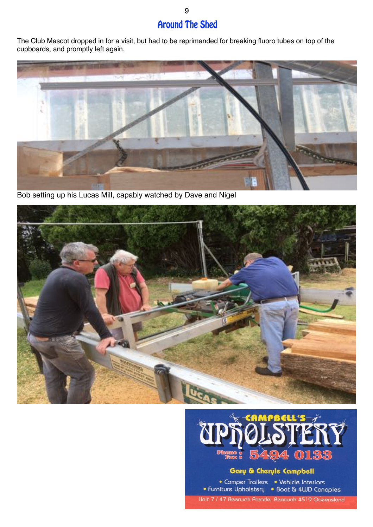### **Around The Shed**

The Club Mascot dropped in for a visit, but had to be reprimanded for breaking fluoro tubes on top of the cupboards, and promptly left again.



Bob setting up his Lucas Mill, capably watched by Dave and Nigel





### Gary & Cheryle Campbell

• Camper Trailers • Vehicle Interiors • Furniture Upholstery • Boat & 4WD Canopies Unit 7 / 47 Beerwah Parade, Beerwah 4519 Queensland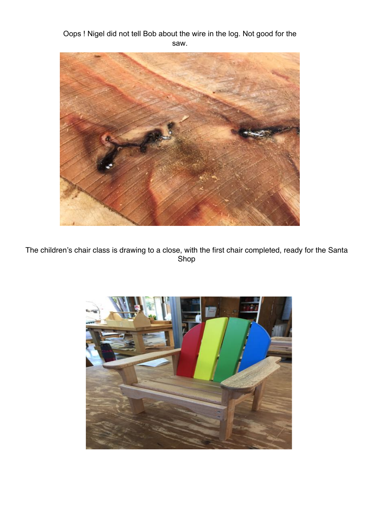Oops ! Nigel did not tell Bob about the wire in the log. Not good for the saw.



The children's chair class is drawing to a close, with the first chair completed, ready for the Santa Shop

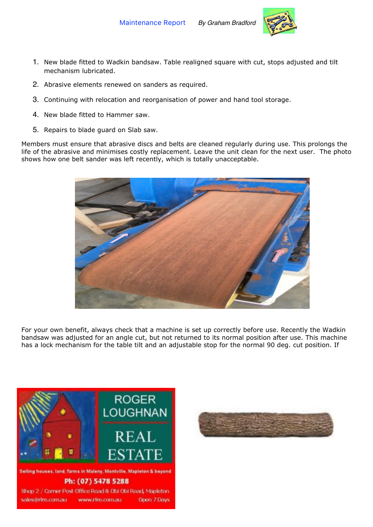

- 1. New blade fitted to Wadkin bandsaw. Table realigned square with cut, stops adjusted and tilt mechanism lubricated.
- 2. Abrasive elements renewed on sanders as required.
- 3. Continuing with relocation and reorganisation of power and hand tool storage.
- 4. New blade fitted to Hammer saw.
- 5. Repairs to blade guard on Slab saw.

Members must ensure that abrasive discs and belts are cleaned regularly during use. This prolongs the life of the abrasive and minimises costly replacement. Leave the unit clean for the next user. The photo shows how one belt sander was left recently, which is totally unacceptable.



For your own benefit, always check that a machine is set up correctly before use. Recently the Wadkin bandsaw was adjusted for an angle cut, but not returned to its normal position after use. This machine has a lock mechanism for the table tilt and an adjustable stop for the normal 90 deg. cut position. If